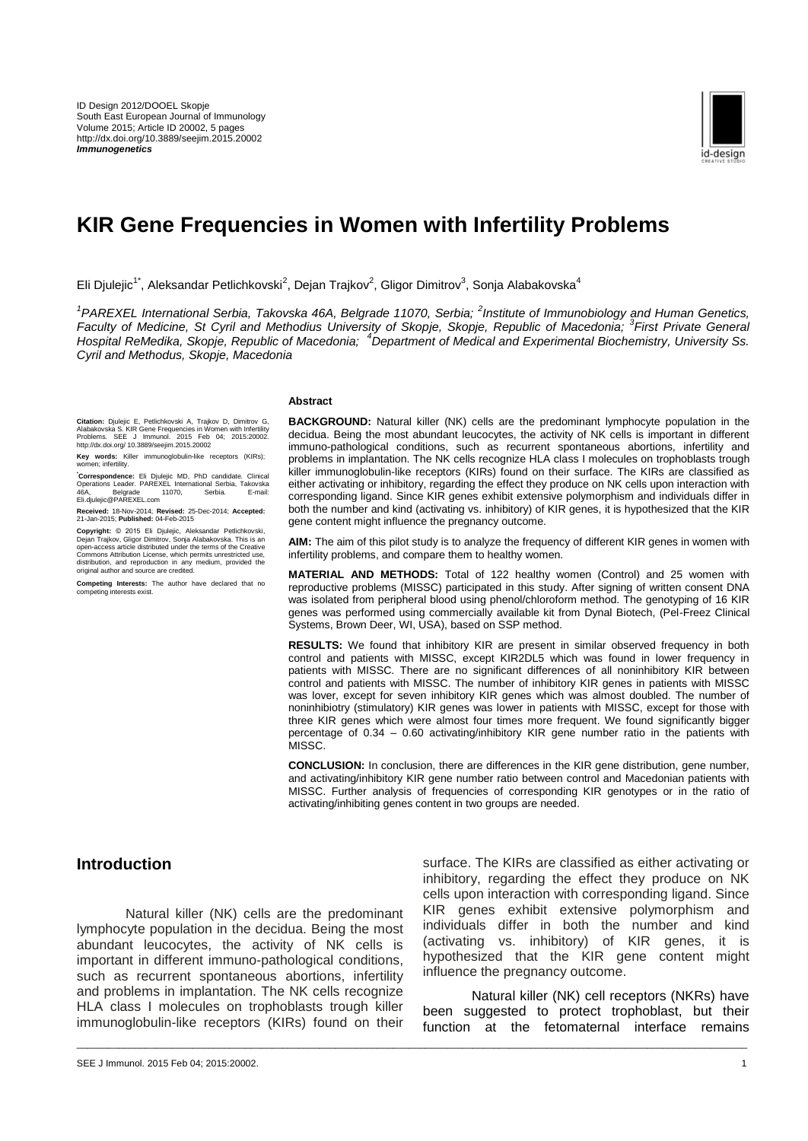

# **KIR Gene Frequencies in Women with Infertility Problems**

Eli Djulejic<sup>1\*</sup>, Aleksandar Petlichkovski<sup>2</sup>, Dejan Trajkov<sup>2</sup>, Gligor Dimitrov<sup>3</sup>, Sonja Alabakovska<sup>4</sup>

<sup>1</sup> PAREXEL International Serbia, Takovska 46A, Belgrade 11070, Serbia; <sup>2</sup> Institute of Immunobiology and Human Genetics, *Faculty of Medicine, St Cyril and Methodius University of Skopje, Skopje, Republic of Macedonia; <sup>3</sup> First Private General Hospital ReMedika, Skopje, Republic of Macedonia; <sup>4</sup>Department of Medical and Experimental Biochemistry, University Ss. Cyril and Methodus, Skopje, Macedonia*

\_\_\_\_\_\_\_\_\_\_\_\_\_\_\_\_\_\_\_\_\_\_\_\_\_\_\_\_\_\_\_\_\_\_\_\_\_\_\_\_\_\_\_\_\_\_\_\_\_\_\_\_\_\_\_\_\_\_\_\_\_\_\_\_\_\_\_\_\_\_\_\_\_\_\_\_\_\_\_\_\_\_\_\_\_\_\_\_\_\_\_\_\_\_\_\_\_\_\_\_\_\_\_\_\_\_\_\_\_\_\_\_\_\_\_\_\_\_\_\_\_\_\_\_\_\_\_

#### **Abstract**

Citation: Djulejic E, Petlichkovski A, Trajkov D, Dimitrov G,<br>Alabakovska S. KIR Gene Frequencies in Women with Infertility<br>Problems. SEE J Immunol. 2015 Feb<br>http://dx.doi.org/ 10.3889/seejim.2015.20002

**Key words:** Killer immunoglobulin-like receptors (KIRs); women; infertility.

**\*Correspondence:** Eli Djulejic MD, PhD candidate. Clinical Operations Leader. PAREXEL International Serbia, Takovska 46A, Belgrade 11070, Serbia. E-mail:<br>Eli.djulejic@PAREXEL.com

**Received:** 18-Nov-2014; **Revised:** 25-Dec-2014; **Accepted:** 21-Jan-2015; **Published:** 04-Feb-2015

**Copyright:** © 2015 Eli Djulejic, Aleksandar Petlichkovski, Dejan Trajkov, Gligor Dimitrov, Sonja Alabakovska. This is an<br>open-access article distributed under the terms of the Creative<br>Commons Attribution License, which permits unrestricted use,<br>distribution, and reproduction in a

**Competing Interests:** The author have declared that no competing interests exist. .<br>nterests exist

**BACKGROUND:** Natural killer (NK) cells are the predominant lymphocyte population in the decidua. Being the most abundant leucocytes, the activity of NK cells is important in different immuno-pathological conditions, such as recurrent spontaneous abortions, infertility and problems in implantation. The NK cells recognize HLA class I molecules on trophoblasts trough killer immunoglobulin-like receptors (KIRs) found on their surface. The KIRs are classified as either activating or inhibitory, regarding the effect they produce on NK cells upon interaction with corresponding ligand. Since KIR genes exhibit extensive polymorphism and individuals differ in both the number and kind (activating vs. inhibitory) of KIR genes, it is hypothesized that the KIR gene content might influence the pregnancy outcome.

**AIM:** The aim of this pilot study is to analyze the frequency of different KIR genes in women with infertility problems, and compare them to healthy women.

**MATERIAL AND METHODS:** Total of 122 healthy women (Control) and 25 women with reproductive problems (MISSC) participated in this study. After signing of written consent DNA was isolated from peripheral blood using phenol/chloroform method. The genotyping of 16 KIR genes was performed using commercially available kit from Dynal Biotech, (Pel-Freez Clinical Systems, Brown Deer, WI, USA), based on SSP method.

**RESULTS:** We found that inhibitory KIR are present in similar observed frequency in both control and patients with MISSC, except KIR2DL5 which was found in lower frequency in patients with MISSC. There are no significant differences of all noninhibitory KIR between control and patients with MISSC. The number of inhibitory KIR genes in patients with MISSC was lover, except for seven inhibitory KIR genes which was almost doubled. The number of noninhibiotry (stimulatory) KIR genes was lower in patients with MISSC, except for those with three KIR genes which were almost four times more frequent. We found significantly bigger percentage of 0.34 – 0.60 activating/inhibitory KIR gene number ratio in the patients with MISSC.

**CONCLUSION:** In conclusion, there are differences in the KIR gene distribution, gene number, and activating/inhibitory KIR gene number ratio between control and Macedonian patients with MISSC. Further analysis of frequencies of corresponding KIR genotypes or in the ratio of activating/inhibiting genes content in two groups are needed.

## **Introduction**

Natural killer (NK) cells are the predominant lymphocyte population in the decidua. Being the most abundant leucocytes, the activity of NK cells is important in different immuno-pathological conditions, such as recurrent spontaneous abortions, infertility and problems in implantation. The NK cells recognize HLA class I molecules on trophoblasts trough killer immunoglobulin-like receptors (KIRs) found on their surface. The KIRs are classified as either activating or inhibitory, regarding the effect they produce on NK cells upon interaction with corresponding ligand. Since KIR genes exhibit extensive polymorphism and individuals differ in both the number and kind (activating vs. inhibitory) of KIR genes, it is hypothesized that the KIR gene content might influence the pregnancy outcome.

Natural killer (NK) cell receptors (NKRs) have been suggested to protect trophoblast, but their function at the fetomaternal interface remains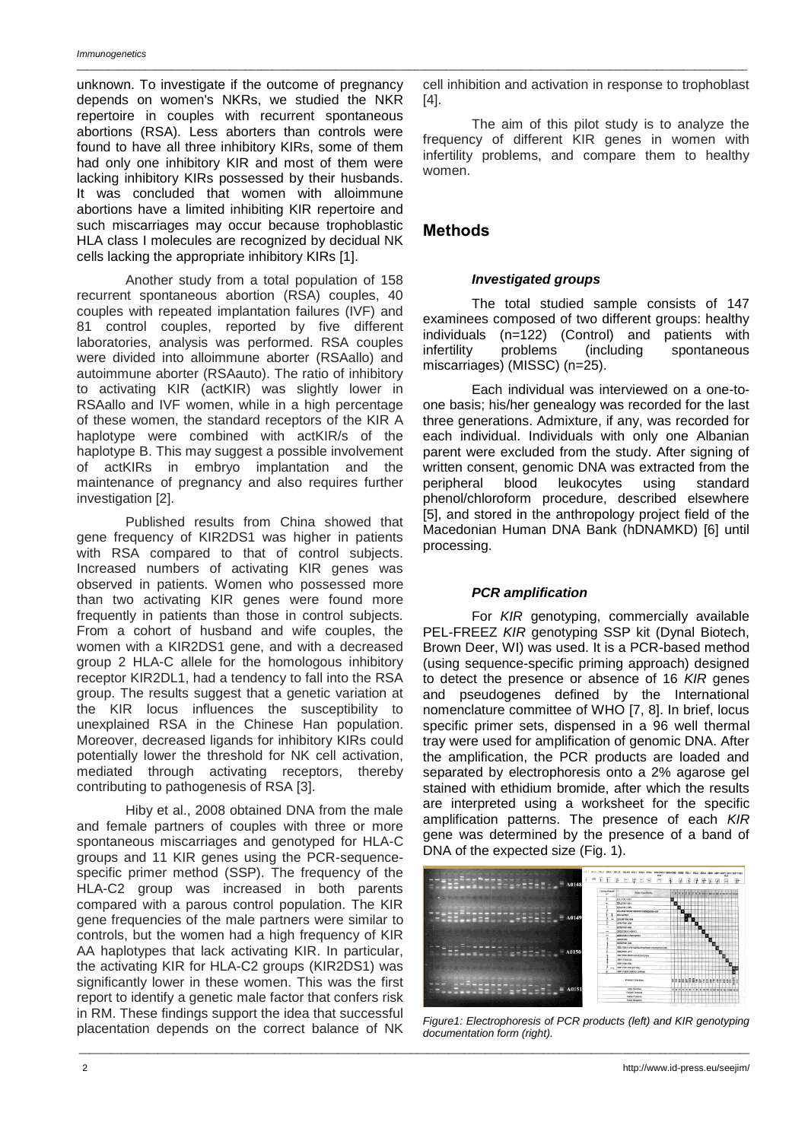unknown. To investigate if the outcome of pregnancy depends on women's NKRs, we studied the NKR repertoire in couples with recurrent spontaneous abortions (RSA). Less aborters than controls were found to have all three inhibitory KIRs, some of them had only one inhibitory KIR and most of them were lacking inhibitory KIRs possessed by their husbands. It was concluded that women with alloimmune abortions have a limited inhibiting KIR repertoire and such miscarriages may occur because trophoblastic HLA class I molecules are recognized by decidual NK cells lacking the appropriate inhibitory KIRs [1].

Another study from a total population of 158 recurrent spontaneous abortion (RSA) couples, 40 couples with repeated implantation failures (IVF) and 81 control couples, reported by five different laboratories, analysis was performed. RSA couples were divided into alloimmune aborter (RSAallo) and autoimmune aborter (RSAauto). The ratio of inhibitory to activating KIR (actKIR) was slightly lower in RSAallo and IVF women, while in a high percentage of these women, the standard receptors of the KIR A haplotype were combined with actKIR/s of the haplotype B. This may suggest a possible involvement of actKIRs in embryo implantation and the maintenance of pregnancy and also requires further investigation [2].

Published results from China showed that gene frequency of KIR2DS1 was higher in patients with RSA compared to that of control subjects. Increased numbers of activating KIR genes was observed in patients. Women who possessed more than two activating KIR genes were found more frequently in patients than those in control subjects. From a cohort of husband and wife couples, the women with a KIR2DS1 gene, and with a decreased group 2 HLA-C allele for the homologous inhibitory receptor KIR2DL1, had a tendency to fall into the RSA group. The results suggest that a genetic variation at the KIR locus influences the susceptibility to unexplained RSA in the Chinese Han population. Moreover, decreased ligands for inhibitory KIRs could potentially lower the threshold for NK cell activation, mediated through activating receptors, thereby contributing to pathogenesis of RSA [3].

Hiby et al., 2008 obtained DNA from the male and female partners of couples with three or more spontaneous miscarriages and genotyped for HLA-C groups and 11 KIR genes using the PCR-sequencespecific primer method (SSP). The frequency of the HLA-C2 group was increased in both parents compared with a parous control population. The KIR gene frequencies of the male partners were similar to controls, but the women had a high frequency of KIR AA haplotypes that lack activating KIR. In particular, the activating KIR for HLA-C2 groups (KIR2DS1) was significantly lower in these women. This was the first report to identify a genetic male factor that confers risk in RM. These findings support the idea that successful placentation depends on the correct balance of NK

cell inhibition and activation in response to trophoblast [4].

The aim of this pilot study is to analyze the frequency of different KIR genes in women with infertility problems, and compare them to healthy women.

# **Мethods**

### *Investigated groups*

The total studied sample consists of 147 examinees composed of two different groups: healthy individuals (n=122) (Control) and patients with infertility problems (including spontaneous miscarriages) (MISSC) (n=25).

Each individual was interviewed on a one-toone basis; his/her genealogy was recorded for the last three generations. Admixture, if any, was recorded for each individual. Individuals with only one Albanian parent were excluded from the study. After signing of written consent, genomic DNA was extracted from the peripheral blood leukocytes using standard phenol/chloroform procedure, described elsewhere [5], and stored in the anthropology project field of the Macedonian Human DNA Bank (hDNAMKD) [6] until processing.

## *PCR amplification*

For *KIR* genotyping, commercially available PEL-FREEZ *KIR* genotyping SSP kit (Dynal Biotech, Brown Deer, WI) was used. It is a PCR-based method (using sequence-specific priming approach) designed to detect the presence or absence of 16 *KIR* genes and pseudogenes defined by the International nomenclature committee of WHO [7, 8]. In brief, locus specific primer sets, dispensed in a 96 well thermal tray were used for amplification of genomic DNA. After the amplification, the PCR products are loaded and separated by electrophoresis onto a 2% agarose gel stained with ethidium bromide, after which the results are interpreted using a worksheet for the specific amplification patterns. The presence of each *KIR* gene was determined by the presence of a band of DNA of the expected size (Fig. 1).



*Figure1: Electrophoresis of PCR products (left) and KIR genotyping documentation form (right).*

\_\_\_\_\_\_\_\_\_\_\_\_\_\_\_\_\_\_\_\_\_\_\_\_\_\_\_\_\_\_\_\_\_\_\_\_\_\_\_\_\_\_\_\_\_\_\_\_\_\_\_\_\_\_\_\_\_\_\_\_\_\_\_\_\_\_\_\_\_\_\_\_\_\_\_\_\_\_\_\_\_\_\_\_\_\_\_\_\_\_\_\_\_\_\_\_\_\_\_\_\_\_\_\_\_\_\_\_\_\_\_\_\_\_\_\_\_\_\_\_\_\_\_\_\_\_\_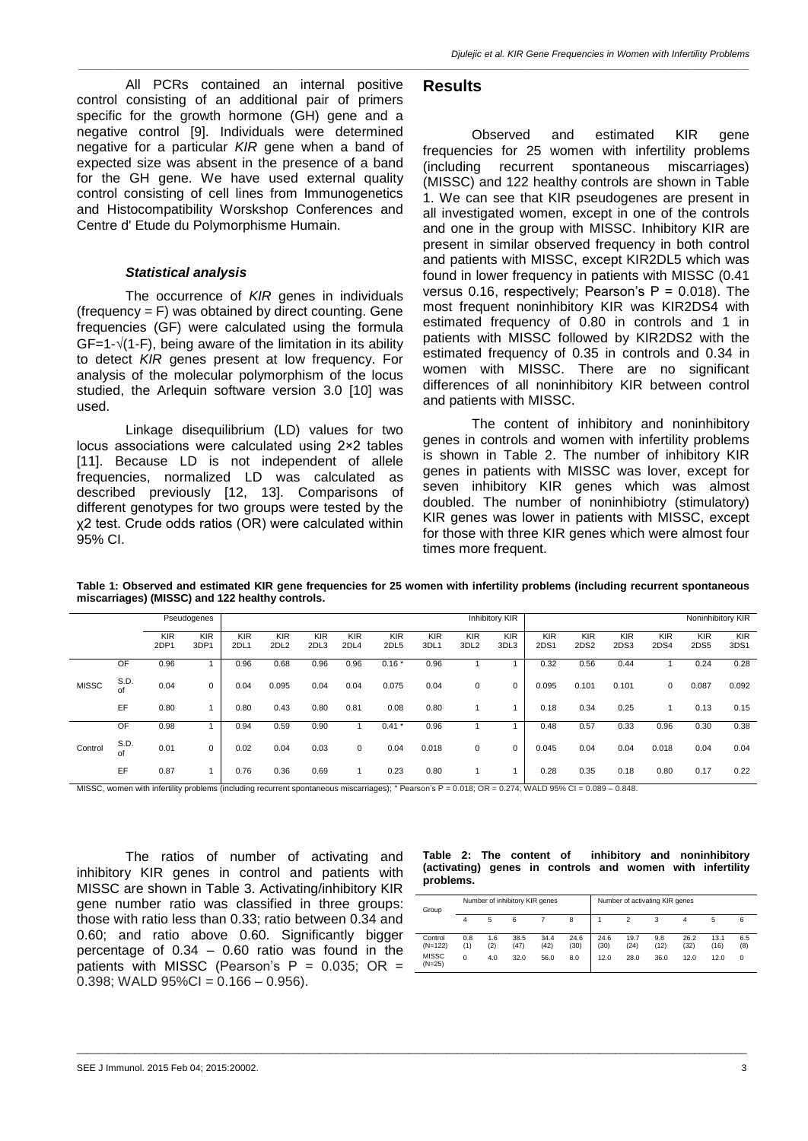All PCRs contained an internal positive control consisting of an additional pair of primers specific for the growth hormone (GH) gene and a negative control [9]. Individuals were determined negative for a particular *KIR* gene when a band of expected size was absent in the presence of a band for the GH gene. We have used external quality control consisting of cell lines from Immunogenetics and Histocompatibility Worskshop Conferences and Centre d' Etude du Polymorphisme Humain.

#### *Statistical analysis*

The occurrence of *KIR* genes in individuals (frequency  $=$  F) was obtained by direct counting. Gene frequencies (GF) were calculated using the formula  $GF=1-\sqrt{(1-F)}$ , being aware of the limitation in its ability to detect *KIR* genes present at low frequency. For analysis of the molecular polymorphism of the locus studied, the Arlequin software version 3.0 [10] was used.

Linkage disequilibrium (LD) values for two locus associations were calculated using 2×2 tables [11]. Because LD is not independent of allele frequencies, normalized LD was calculated as described previously [12, 13]. Comparisons of different genotypes for two groups were tested by the χ2 test. Crude odds ratios (OR) were calculated within 95% CI.

# **Results**

*\_\_\_\_\_\_\_\_\_\_\_\_\_\_\_\_\_\_\_\_\_\_\_\_\_\_\_\_\_\_\_\_\_\_\_\_\_\_\_\_\_\_\_\_\_\_\_\_\_\_\_\_\_\_\_\_\_\_\_\_\_\_\_\_\_\_\_\_\_\_\_\_\_\_\_\_\_\_\_\_\_\_\_\_\_\_\_\_\_\_\_\_\_\_\_\_\_\_\_\_\_\_\_\_\_\_\_\_\_\_\_\_\_\_\_\_\_\_\_\_\_\_\_\_\_\_\_*

Observed and estimated KIR gene frequencies for 25 women with infertility problems (including recurrent spontaneous miscarriages) (MISSC) and 122 healthy controls are shown in Table 1. We can see that KIR pseudogenes are present in all investigated women, except in one of the controls and one in the group with MISSC. Inhibitory KIR are present in similar observed frequency in both control and patients with MISSC, except KIR2DL5 which was found in lower frequency in patients with MISSC (0.41 versus 0.16, respectively; Pearson's  $P = 0.018$ ). The most frequent noninhibitory KIR was KIR2DS4 with estimated frequency of 0.80 in controls and 1 in patients with MISSC followed by KIR2DS2 with the estimated frequency of 0.35 in controls and 0.34 in women with MISSC. There are no significant differences of all noninhibitory KIR between control and patients with MISSC.

The content of inhibitory and noninhibitory genes in controls and women with infertility problems is shown in Table 2. The number of inhibitory KIR genes in patients with MISSC was lover, except for seven inhibitory KIR genes which was almost doubled. The number of noninhibiotry (stimulatory) KIR genes was lower in patients with MISSC, except for those with three KIR genes which were almost four times more frequent.

|              |            |                    | Pseudogenes        |                    |                                |                    |                    |                    |                    |                                | Inhibitory KIR     |                    |                                |                    |                    | Noninhibitory KIR  |                    |
|--------------|------------|--------------------|--------------------|--------------------|--------------------------------|--------------------|--------------------|--------------------|--------------------|--------------------------------|--------------------|--------------------|--------------------------------|--------------------|--------------------|--------------------|--------------------|
|              |            | <b>KIR</b><br>2DP1 | <b>KIR</b><br>3DP1 | <b>KIR</b><br>2DL1 | <b>KIR</b><br>2DL <sub>2</sub> | <b>KIR</b><br>2DL3 | <b>KIR</b><br>2DL4 | <b>KIR</b><br>2DL5 | <b>KIR</b><br>3DL1 | <b>KIR</b><br>3DL <sub>2</sub> | <b>KIR</b><br>3DL3 | <b>KIR</b><br>2DS1 | <b>KIR</b><br>2DS <sub>2</sub> | <b>KIR</b><br>2DS3 | <b>KIR</b><br>2DS4 | <b>KIR</b><br>2DS5 | <b>KIR</b><br>3DS1 |
|              | OF         | 0.96               |                    | 0.96               | 0.68                           | 0.96               | 0.96               | $0.16*$            | 0.96               |                                |                    | 0.32               | 0.56                           | 0.44               |                    | 0.24               | 0.28               |
| <b>MISSC</b> | S.D.<br>of | 0.04               | 0                  | 0.04               | 0.095                          | 0.04               | 0.04               | 0.075              | 0.04               | 0                              | 0                  | 0.095              | 0.101                          | 0.101              | 0                  | 0.087              | 0.092              |
|              | EF         | 0.80               |                    | 0.80               | 0.43                           | 0.80               | 0.81               | 0.08               | 0.80               |                                |                    | 0.18               | 0.34                           | 0.25               |                    | 0.13               | 0.15               |
|              | OF         | 0.98               |                    | 0.94               | 0.59                           | 0.90               |                    | 0.41               | 0.96               |                                |                    | 0.48               | 0.57                           | 0.33               | 0.96               | 0.30               | 0.38               |
| Control      | S.D.<br>of | 0.01               | $\mathbf 0$        | 0.02               | 0.04                           | 0.03               | $\mathbf{0}$       | 0.04               | 0.018              | 0                              | 0                  | 0.045              | 0.04                           | 0.04               | 0.018              | 0.04               | 0.04               |
|              | EF         | 0.87               |                    | 0.76               | 0.36                           | 0.69               | 1                  | 0.23               | 0.80               |                                |                    | 0.28               | 0.35                           | 0.18               | 0.80               | 0.17               | 0.22               |

\_\_\_\_\_\_\_\_\_\_\_\_\_\_\_\_\_\_\_\_\_\_\_\_\_\_\_\_\_\_\_\_\_\_\_\_\_\_\_\_\_\_\_\_\_\_\_\_\_\_\_\_\_\_\_\_\_\_\_\_\_\_\_\_\_\_\_\_\_\_\_\_\_\_\_\_\_\_\_\_\_\_\_\_\_\_\_\_\_\_\_\_\_\_\_\_\_\_\_\_\_\_\_\_\_\_\_\_\_\_\_\_\_\_\_\_\_\_\_\_\_\_\_\_\_\_\_

**Table 1: Observed and estimated KIR gene frequencies for 25 women with infertility problems (including recurrent spontaneous miscarriages) (MISSC) and 122 healthy controls.**

MISSC, women with infertility problems (including recurrent spontaneous miscarriages); \* Pearson's P = 0.018; OR = 0.274; WALD 95% CI = 0.089 – 0.848.

The ratios of number of activating and inhibitory KIR genes in control and patients with MISSC are shown in Table 3. Activating/inhibitory KIR gene number ratio was classified in three groups: those with ratio less than 0.33; ratio between 0.34 and 0.60; and ratio above 0.60. Significantly bigger percentage of  $0.34 - 0.60$  ratio was found in the patients with MISSC (Pearson's  $P = 0.035$ ; OR =  $0.398$ ; WALD  $95\%$ CI =  $0.166 - 0.956$ ).

| Table 2: The content of inhibitory and noninhibitory      |  |  |  |  |
|-----------------------------------------------------------|--|--|--|--|
| (activating) genes in controls and women with infertility |  |  |  |  |
| problems.                                                 |  |  |  |  |

| Group                    |            |            | Number of inhibitory KIR genes |              |              | Number of activating KIR genes |              |             |              |              |            |
|--------------------------|------------|------------|--------------------------------|--------------|--------------|--------------------------------|--------------|-------------|--------------|--------------|------------|
|                          | 4          | 5          | 6                              |              | 8            |                                | 2            | 3           | 4            | 5            | 6          |
| Control<br>$(N=122)$     | 0.8<br>(1) | 1.6<br>(2) | 38.5<br>(47)                   | 34.4<br>(42) | 24.6<br>(30) | 24.6<br>(30)                   | 19.7<br>(24) | 9.8<br>(12) | 26.2<br>(32) | 13.1<br>(16) | 6.5<br>(8) |
| <b>MISSC</b><br>$(N=25)$ | 0          | 4.0        | 32.0                           | 56.0         | 8.0          | 12.0                           | 28.0         | 36.0        | 12.0         | 12.0         | $\Omega$   |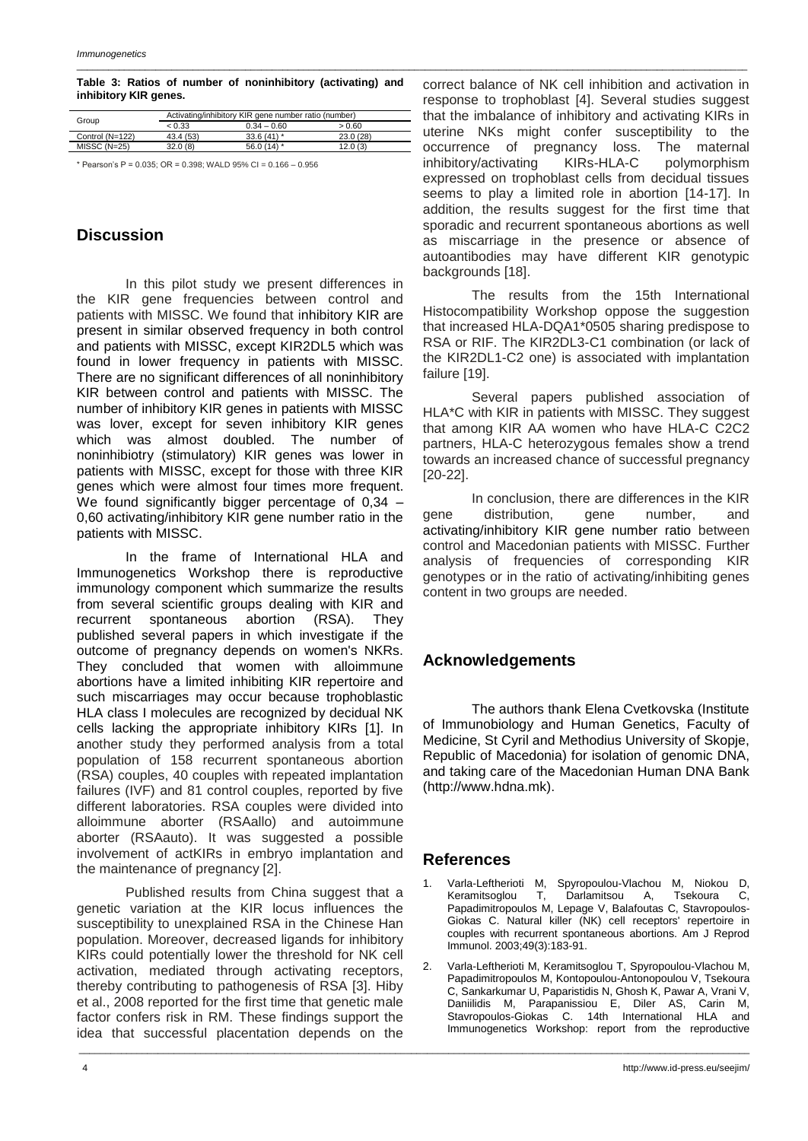#### **Table 3: Ratios of number of noninhibitory (activating) and inhibitory KIR genes.**

\_\_\_\_\_\_\_\_\_\_\_\_\_\_\_\_\_\_\_\_\_\_\_\_\_\_\_\_\_\_\_\_\_\_\_\_\_\_\_\_\_\_\_\_\_\_\_\_\_\_\_\_\_\_\_\_\_\_\_\_\_\_\_\_\_\_\_\_\_\_\_\_\_\_\_\_\_\_\_\_\_\_\_\_\_\_\_\_\_\_\_\_\_\_\_\_\_\_\_\_\_\_\_\_\_\_\_\_\_\_\_\_\_\_\_\_\_\_\_\_\_\_\_\_\_\_\_

| Group           | Activating/inhibitory KIR gene number ratio (number) |               |          |  |  |  |  |  |  |
|-----------------|------------------------------------------------------|---------------|----------|--|--|--|--|--|--|
|                 | < 0.33                                               | $0.34 - 0.60$ | > 0.60   |  |  |  |  |  |  |
| Control (N=122) | 43.4 (53)                                            | $33.6(41)$ *  | 23.0(28) |  |  |  |  |  |  |
| $MISSC (N=25)$  | 32.0(8)                                              | 56.0 $(14)$ * | 12.0(3)  |  |  |  |  |  |  |
|                 |                                                      |               |          |  |  |  |  |  |  |

\* Pearson's P = 0.035; OR = 0.398; WALD 95% CI = 0.166 – 0.956

# **Discussion**

In this pilot study we present differences in the KIR gene frequencies between control and patients with MISSC. We found that inhibitory KIR are present in similar observed frequency in both control and patients with MISSC, except KIR2DL5 which was found in lower frequency in patients with MISSC. There are no significant differences of all noninhibitory KIR between control and patients with MISSC. The number of inhibitory KIR genes in patients with MISSC was lover, except for seven inhibitory KIR genes which was almost doubled. The number of noninhibiotry (stimulatory) KIR genes was lower in patients with MISSC, except for those with three KIR genes which were almost four times more frequent. We found significantly bigger percentage of 0,34 – 0,60 activating/inhibitory KIR gene number ratio in the patients with MISSC.

In the frame of International HLA and Immunogenetics Workshop there is reproductive immunology component which summarize the results from several scientific groups dealing with KIR and recurrent spontaneous abortion (RSA). They published several papers in which investigate if the outcome of pregnancy depends on women's NKRs. They concluded that women with alloimmune abortions have a limited inhibiting KIR repertoire and such miscarriages may occur because trophoblastic HLA class I molecules are recognized by decidual NK cells lacking the appropriate inhibitory KIRs [1]. In another study they performed analysis from a total population of 158 recurrent spontaneous abortion (RSA) couples, 40 couples with repeated implantation failures (IVF) and 81 control couples, reported by five different laboratories. RSA couples were divided into alloimmune aborter (RSAallo) and autoimmune aborter (RSAauto). It was suggested a possible involvement of actKIRs in embryo implantation and the maintenance of pregnancy [2].

Published results from China suggest that a genetic variation at the KIR locus influences the susceptibility to unexplained RSA in the Chinese Han population. Moreover, decreased ligands for inhibitory KIRs could potentially lower the threshold for NK cell activation, mediated through activating receptors, thereby contributing to pathogenesis of RSA [3]. Hiby et al., 2008 reported for the first time that genetic male factor confers risk in RM. These findings support the idea that successful placentation depends on the

correct balance of NK cell inhibition and activation in response to trophoblast [4]. Several studies suggest that the imbalance of inhibitory and activating KIRs in uterine NKs might confer susceptibility to the occurrence of pregnancy loss. The maternal inhibitory/activating KIRs-HLA-C polymorphism expressed on trophoblast cells from decidual tissues seems to play a limited role in abortion [14-17]. In addition, the results suggest for the first time that sporadic and recurrent spontaneous abortions as well as miscarriage in the presence or absence of autoantibodies may have different KIR genotypic backgrounds [18].

The results from the 15th International Histocompatibility Workshop oppose the suggestion that increased HLA-DQA1\*0505 sharing predispose to RSA or RIF. The KIR2DL3-C1 combination (or lack of the KIR2DL1-C2 one) is associated with implantation failure [19].

Several papers published association of HLA\*C with KIR in patients with MISSC. They suggest that among KIR AA women who have HLA-C C2C2 partners, HLA-C heterozygous females show a trend towards an increased chance of successful pregnancy [20-22].

In conclusion, there are differences in the KIR gene distribution, gene number, and activating/inhibitory KIR gene number ratio between control and Macedonian patients with MISSC. Further analysis of frequencies of corresponding KIR genotypes or in the ratio of activating/inhibiting genes content in two groups are needed.

# **Acknowledgements**

The authors thank Elena Cvetkovska (Institute of Immunobiology and Human Genetics, Faculty of Medicine, St Cyril and Methodius University of Skopje, Republic of Macedonia) for isolation of genomic DNA, and taking care of the Macedonian Human DNA Bank (http://www.hdna.mk).

# **References**

\_\_\_\_\_\_\_\_\_\_\_\_\_\_\_\_\_\_\_\_\_\_\_\_\_\_\_\_\_\_\_\_\_\_\_\_\_\_\_\_\_\_\_\_\_\_\_\_\_\_\_\_\_\_\_\_\_\_\_\_\_\_\_\_\_\_\_\_\_\_\_\_\_\_\_\_\_\_\_\_\_\_\_\_\_\_\_\_\_\_\_\_\_\_\_\_\_\_\_\_\_\_\_\_\_\_\_\_\_\_\_\_\_\_\_\_\_\_\_\_\_\_\_\_\_\_\_

- 1. Varla-Leftherioti M, Spyropoulou-Vlachou M, Niokou D, Keramitsoglou T, Darlamitsou A, Tsekoura C, Papadimitropoulos M, Lepage V, Balafoutas C, Stavropoulos-Giokas C. Natural killer (NK) cell receptors' repertoire in couples with recurrent spontaneous abortions. Am J Reprod Immunol. 2003;49(3):183-91.
- 2. Varla-Leftherioti M, Keramitsoglou T, Spyropoulou-Vlachou M, Papadimitropoulos M, Kontopoulou-Antonopoulou V, Tsekoura C, Sankarkumar U, Paparistidis N, Ghosh K, Pawar A, Vrani V, Daniilidis M, Parapanissiou E, Diler AS, Carin M, Stavropoulos-Giokas C. 14th International HLA and Immunogenetics Workshop: report from the reproductive